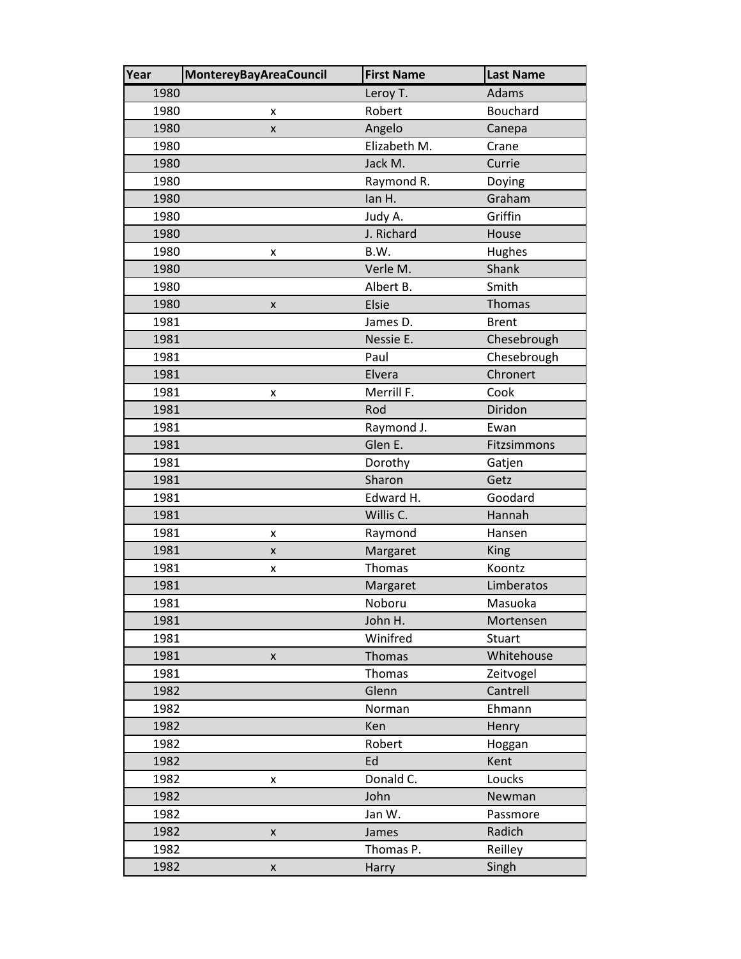| Year | <b>MontereyBayAreaCouncil</b> | <b>First Name</b> | <b>Last Name</b> |
|------|-------------------------------|-------------------|------------------|
| 1980 |                               | Leroy T.          | Adams            |
| 1980 | x                             | Robert            | Bouchard         |
| 1980 | x                             | Angelo            | Canepa           |
| 1980 |                               | Elizabeth M.      | Crane            |
| 1980 |                               | Jack M.           | Currie           |
| 1980 |                               | Raymond R.        | Doying           |
| 1980 |                               | lan H.            | Graham           |
| 1980 |                               | Judy A.           | Griffin          |
| 1980 |                               | J. Richard        | House            |
| 1980 | x                             | B.W.              | Hughes           |
| 1980 |                               | Verle M.          | Shank            |
| 1980 |                               | Albert B.         | Smith            |
| 1980 | x                             | <b>Elsie</b>      | <b>Thomas</b>    |
| 1981 |                               | James D.          | <b>Brent</b>     |
| 1981 |                               | Nessie E.         | Chesebrough      |
| 1981 |                               | Paul              | Chesebrough      |
| 1981 |                               | Elvera            | Chronert         |
| 1981 | x                             | Merrill F.        | Cook             |
| 1981 |                               | Rod               | Diridon          |
| 1981 |                               | Raymond J.        | Ewan             |
| 1981 |                               | Glen E.           | Fitzsimmons      |
| 1981 |                               | Dorothy           | Gatjen           |
| 1981 |                               | Sharon            | Getz             |
| 1981 |                               | Edward H.         | Goodard          |
| 1981 |                               | Willis C.         | Hannah           |
| 1981 | x                             | Raymond           | Hansen           |
| 1981 | X                             | Margaret          | <b>King</b>      |
| 1981 | X                             | Thomas            | Koontz           |
| 1981 |                               | Margaret          | Limberatos       |
| 1981 |                               | Noboru            | Masuoka          |
| 1981 |                               | John H.           | Mortensen        |
| 1981 |                               | Winifred          | Stuart           |
| 1981 | X                             | Thomas            | Whitehouse       |
| 1981 |                               | Thomas            | Zeitvogel        |
| 1982 |                               | Glenn             | Cantrell         |
| 1982 |                               | Norman            | Ehmann           |
| 1982 |                               | Ken               | Henry            |
| 1982 |                               | Robert            | Hoggan           |
| 1982 |                               | Ed                | Kent             |
| 1982 | x                             | Donald C.         | Loucks           |
| 1982 |                               | John              | Newman           |
| 1982 |                               | Jan W.            | Passmore         |
| 1982 | X                             | James             | Radich           |
| 1982 |                               | Thomas P.         | Reilley          |
| 1982 | $\pmb{\mathsf{X}}$            | Harry             | Singh            |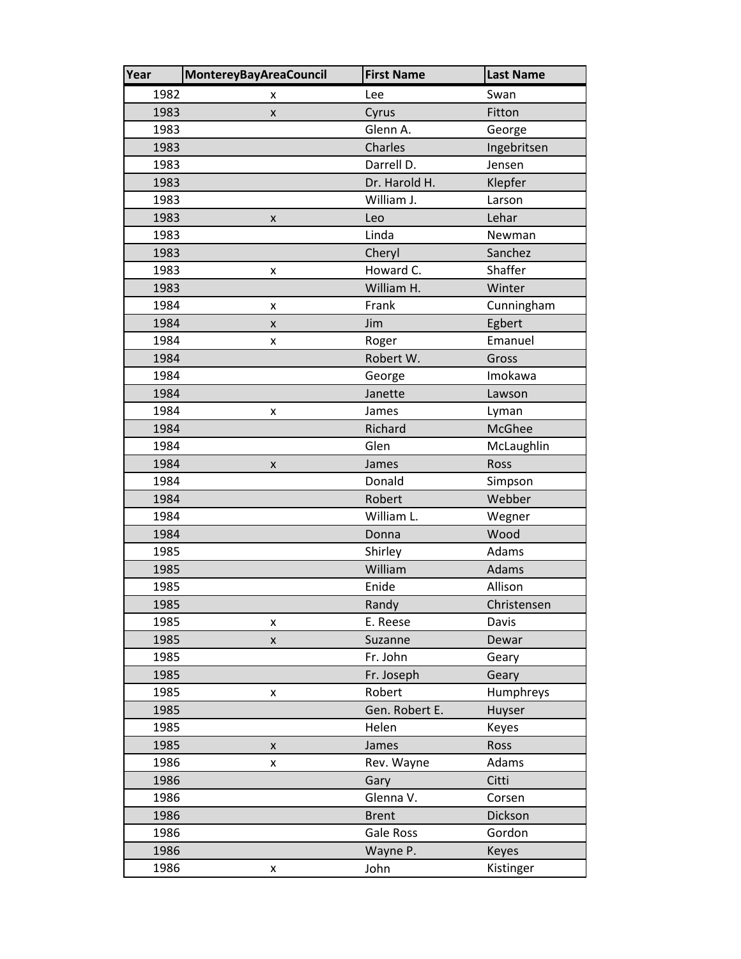| Year | <b>MontereyBayAreaCouncil</b> | <b>First Name</b> | <b>Last Name</b> |
|------|-------------------------------|-------------------|------------------|
| 1982 | x                             | Lee               | Swan             |
| 1983 | X                             | Cyrus             | Fitton           |
| 1983 |                               | Glenn A.          | George           |
| 1983 |                               | Charles           | Ingebritsen      |
| 1983 |                               | Darrell D.        | Jensen           |
| 1983 |                               | Dr. Harold H.     | Klepfer          |
| 1983 |                               | William J.        | Larson           |
| 1983 | x                             | Leo               | Lehar            |
| 1983 |                               | Linda             | Newman           |
| 1983 |                               | Cheryl            | Sanchez          |
| 1983 | x                             | Howard C.         | Shaffer          |
| 1983 |                               | William H.        | Winter           |
| 1984 | x                             | Frank             | Cunningham       |
| 1984 | X                             | Jim               | Egbert           |
| 1984 | x                             | Roger             | Emanuel          |
| 1984 |                               | Robert W.         | Gross            |
| 1984 |                               | George            | Imokawa          |
| 1984 |                               | Janette           | Lawson           |
| 1984 | X                             | James             | Lyman            |
| 1984 |                               | Richard           | <b>McGhee</b>    |
| 1984 |                               | Glen              | McLaughlin       |
| 1984 | X                             | James             | Ross             |
| 1984 |                               | Donald            | Simpson          |
| 1984 |                               | Robert            | Webber           |
| 1984 |                               | William L.        | Wegner           |
| 1984 |                               | Donna             | Wood             |
| 1985 |                               | Shirley           | Adams            |
| 1985 |                               | William           | Adams            |
| 1985 |                               | Enide             | Allison          |
| 1985 |                               | Randy             | Christensen      |
| 1985 | X                             | E. Reese          | Davis            |
| 1985 | X                             | Suzanne           | Dewar            |
| 1985 |                               | Fr. John          | Geary            |
| 1985 |                               | Fr. Joseph        | Geary            |
| 1985 | X                             | Robert            | Humphreys        |
| 1985 |                               | Gen. Robert E.    | Huyser           |
| 1985 |                               | Helen             | Keyes            |
| 1985 | X                             | James             | Ross             |
| 1986 | x                             | Rev. Wayne        | Adams            |
| 1986 |                               | Gary              | Citti            |
| 1986 |                               | Glenna V.         | Corsen           |
| 1986 |                               | <b>Brent</b>      | Dickson          |
| 1986 |                               | Gale Ross         | Gordon           |
| 1986 |                               | Wayne P.          | <b>Keyes</b>     |
| 1986 | X                             | John              | Kistinger        |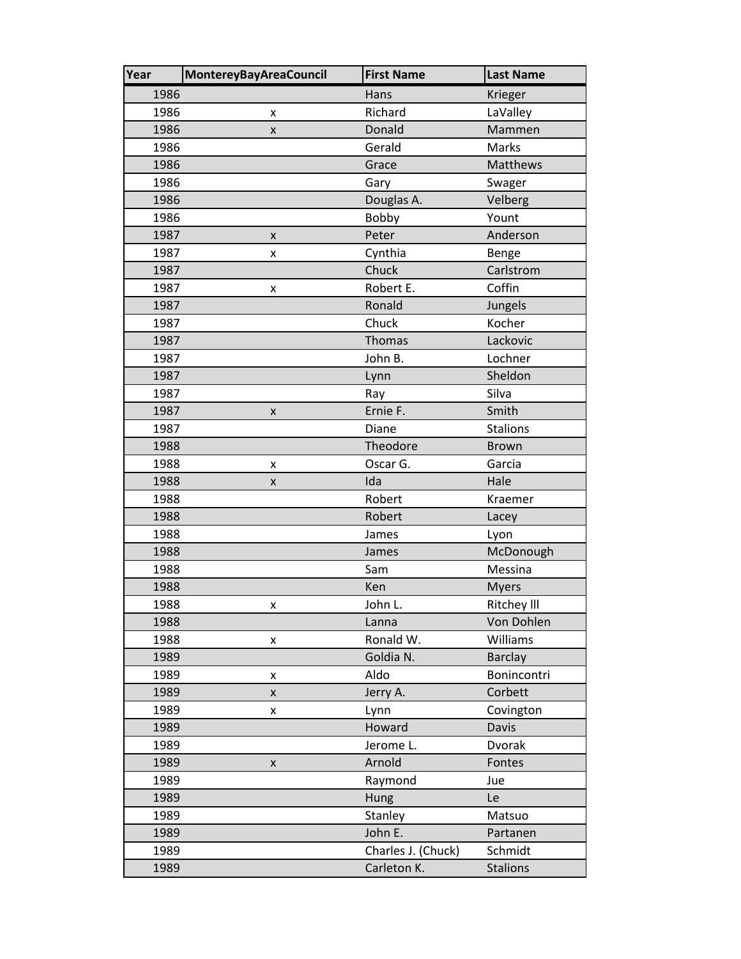| Year | <b>MontereyBayAreaCouncil</b> | <b>First Name</b>  | <b>Last Name</b>   |
|------|-------------------------------|--------------------|--------------------|
| 1986 |                               | Hans               | Krieger            |
| 1986 | x                             | Richard            | LaValley           |
| 1986 | X                             | Donald             | Mammen             |
| 1986 |                               | Gerald             | Marks              |
| 1986 |                               | Grace              | Matthews           |
| 1986 |                               | Gary               | Swager             |
| 1986 |                               | Douglas A.         | Velberg            |
| 1986 |                               | Bobby              | Yount              |
| 1987 | $\pmb{\times}$                | Peter              | Anderson           |
| 1987 | x                             | Cynthia            | Benge              |
| 1987 |                               | Chuck              | Carlstrom          |
| 1987 | x                             | Robert E.          | Coffin             |
| 1987 |                               | Ronald             | Jungels            |
| 1987 |                               | Chuck              | Kocher             |
| 1987 |                               | <b>Thomas</b>      | Lackovic           |
| 1987 |                               | John B.            | Lochner            |
| 1987 |                               | Lynn               | Sheldon            |
| 1987 |                               | Ray                | Silva              |
| 1987 | X                             | Ernie F.           | Smith              |
| 1987 |                               | Diane              | <b>Stalions</b>    |
| 1988 |                               | Theodore           | <b>Brown</b>       |
| 1988 | x                             | Oscar G.           | Garcia             |
| 1988 | X                             | Ida                | Hale               |
| 1988 |                               | Robert             | Kraemer            |
| 1988 |                               | Robert             | Lacey              |
| 1988 |                               | James              | Lyon               |
| 1988 |                               | James              | McDonough          |
| 1988 |                               | Sam                | Messina            |
| 1988 |                               | Ken                | <b>Myers</b>       |
| 1988 | x                             | John L.            | <b>Ritchey III</b> |
| 1988 |                               | Lanna              | Von Dohlen         |
| 1988 | x                             | Ronald W.          | Williams           |
| 1989 |                               | Goldia N.          | <b>Barclay</b>     |
| 1989 | x                             | Aldo               | Bonincontri        |
| 1989 | X                             | Jerry A.           | Corbett            |
| 1989 | x                             | Lynn               | Covington          |
| 1989 |                               | Howard             | <b>Davis</b>       |
| 1989 |                               | Jerome L.          | Dvorak             |
| 1989 | X                             | Arnold             | Fontes             |
| 1989 |                               | Raymond            | Jue                |
| 1989 |                               | Hung               | Le                 |
| 1989 |                               | Stanley            | Matsuo             |
| 1989 |                               | John E.            | Partanen           |
| 1989 |                               | Charles J. (Chuck) | Schmidt            |
| 1989 |                               | Carleton K.        | <b>Stalions</b>    |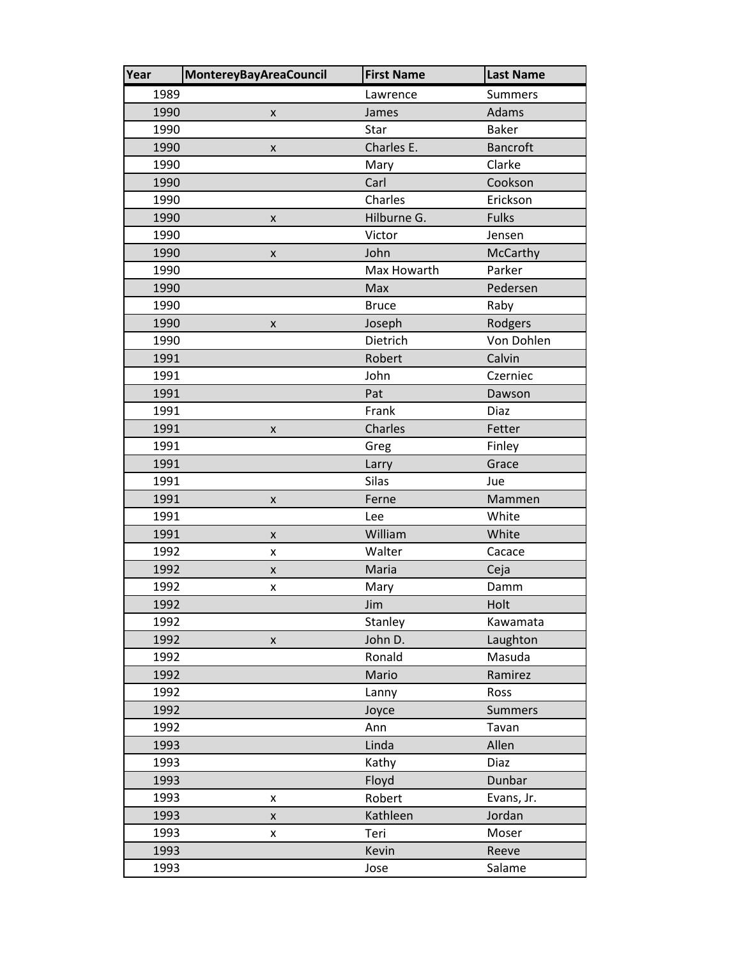| Year | <b>MontereyBayAreaCouncil</b> | <b>First Name</b> | <b>Last Name</b> |
|------|-------------------------------|-------------------|------------------|
| 1989 |                               | Lawrence          | <b>Summers</b>   |
| 1990 | $\pmb{\times}$                | James             | Adams            |
| 1990 |                               | Star              | <b>Baker</b>     |
| 1990 | X                             | Charles E.        | <b>Bancroft</b>  |
| 1990 |                               | Mary              | Clarke           |
| 1990 |                               | Carl              | Cookson          |
| 1990 |                               | Charles           | Erickson         |
| 1990 | x                             | Hilburne G.       | <b>Fulks</b>     |
| 1990 |                               | Victor            | Jensen           |
| 1990 | $\pmb{\times}$                | John              | McCarthy         |
| 1990 |                               | Max Howarth       | Parker           |
| 1990 |                               | Max               | Pedersen         |
| 1990 |                               | <b>Bruce</b>      | Raby             |
| 1990 | x                             | Joseph            | Rodgers          |
| 1990 |                               | Dietrich          | Von Dohlen       |
| 1991 |                               | Robert            | Calvin           |
| 1991 |                               | John              | Czerniec         |
| 1991 |                               | Pat               | Dawson           |
| 1991 |                               | Frank             | Diaz             |
| 1991 | x                             | Charles           | Fetter           |
| 1991 |                               | Greg              | Finley           |
| 1991 |                               | Larry             | Grace            |
| 1991 |                               | <b>Silas</b>      | Jue              |
| 1991 | X                             | Ferne             | Mammen           |
| 1991 |                               | Lee               | White            |
| 1991 | X                             | William           | White            |
| 1992 | x                             | Walter            | Cacace           |
| 1992 | X                             | Maria             | Ceja             |
| 1992 | X                             | Mary              | Damm             |
| 1992 |                               | Jim               | Holt             |
| 1992 |                               | Stanley           | Kawamata         |
| 1992 | X                             | John D.           | Laughton         |
| 1992 |                               | Ronald            | Masuda           |
| 1992 |                               | Mario             | Ramirez          |
| 1992 |                               | Lanny             | Ross             |
| 1992 |                               | Joyce             | <b>Summers</b>   |
| 1992 |                               | Ann               | Tavan            |
| 1993 |                               | Linda             | Allen            |
| 1993 |                               | Kathy             | <b>Diaz</b>      |
| 1993 |                               | Floyd             | Dunbar           |
| 1993 | X                             | Robert            | Evans, Jr.       |
| 1993 | $\pmb{\mathsf{X}}$            | Kathleen          | Jordan           |
| 1993 | x                             | Teri              | Moser            |
| 1993 |                               | Kevin             | Reeve            |
| 1993 |                               | Jose              | Salame           |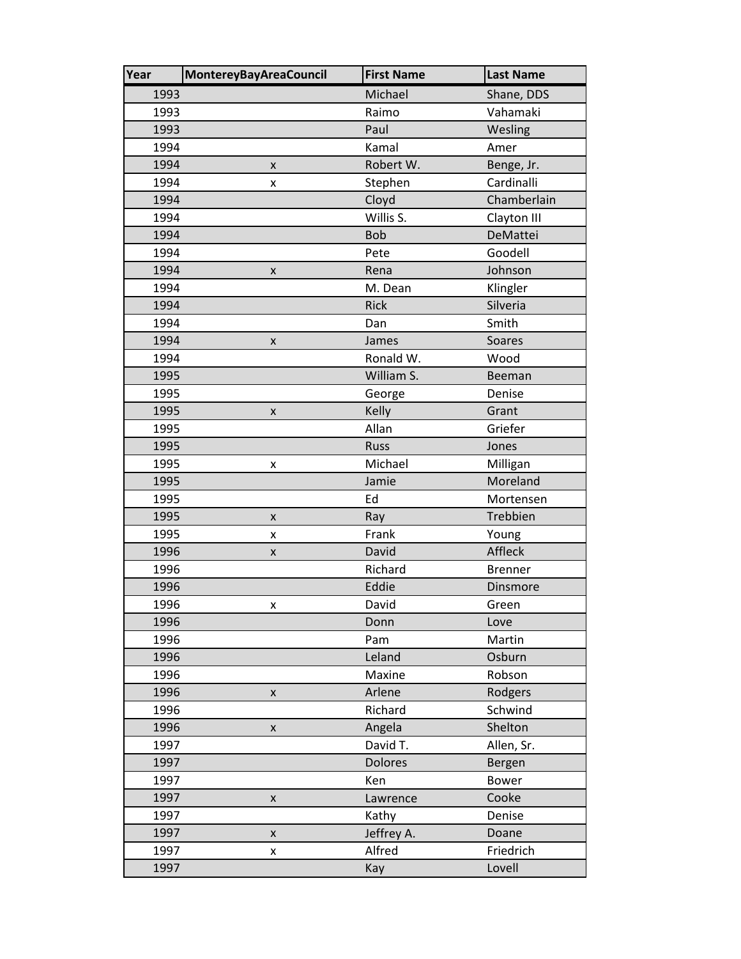| Year | <b>MontereyBayAreaCouncil</b> | <b>First Name</b> | <b>Last Name</b> |
|------|-------------------------------|-------------------|------------------|
| 1993 |                               | Michael           | Shane, DDS       |
| 1993 |                               | Raimo             | Vahamaki         |
| 1993 |                               | Paul              | Wesling          |
| 1994 |                               | Kamal             | Amer             |
| 1994 | $\pmb{\times}$                | Robert W.         | Benge, Jr.       |
| 1994 | x                             | Stephen           | Cardinalli       |
| 1994 |                               | Cloyd             | Chamberlain      |
| 1994 |                               | Willis S.         | Clayton III      |
| 1994 |                               | <b>Bob</b>        | DeMattei         |
| 1994 |                               | Pete              | Goodell          |
| 1994 | X                             | Rena              | Johnson          |
| 1994 |                               | M. Dean           | Klingler         |
| 1994 |                               | <b>Rick</b>       | Silveria         |
| 1994 |                               | Dan               | Smith            |
| 1994 | X                             | James             | Soares           |
| 1994 |                               | Ronald W.         | Wood             |
| 1995 |                               | William S.        | Beeman           |
| 1995 |                               | George            | Denise           |
| 1995 | X                             | Kelly             | Grant            |
| 1995 |                               | Allan             | Griefer          |
| 1995 |                               | <b>Russ</b>       | Jones            |
| 1995 | X                             | Michael           | Milligan         |
| 1995 |                               | Jamie             | Moreland         |
| 1995 |                               | Ed                | Mortensen        |
| 1995 | X                             | Ray               | Trebbien         |
| 1995 | x                             | Frank             | Young            |
| 1996 | X                             | David             | Affleck          |
| 1996 |                               | Richard           | <b>Brenner</b>   |
| 1996 |                               | Eddie             | Dinsmore         |
| 1996 | x                             | David             | Green            |
| 1996 |                               | Donn              | Love             |
| 1996 |                               | Pam               | Martin           |
| 1996 |                               | Leland            | Osburn           |
| 1996 |                               | Maxine            | Robson           |
| 1996 | X                             | Arlene            | Rodgers          |
| 1996 |                               | Richard           | Schwind          |
| 1996 | X                             | Angela            | Shelton          |
| 1997 |                               | David T.          | Allen, Sr.       |
| 1997 |                               | <b>Dolores</b>    | Bergen           |
| 1997 |                               | Ken               | <b>Bower</b>     |
| 1997 | X                             | Lawrence          | Cooke            |
| 1997 |                               | Kathy             | Denise           |
| 1997 | $\pmb{\mathsf{X}}$            | Jeffrey A.        | Doane            |
| 1997 | X                             | Alfred            | Friedrich        |
| 1997 |                               | Kay               | Lovell           |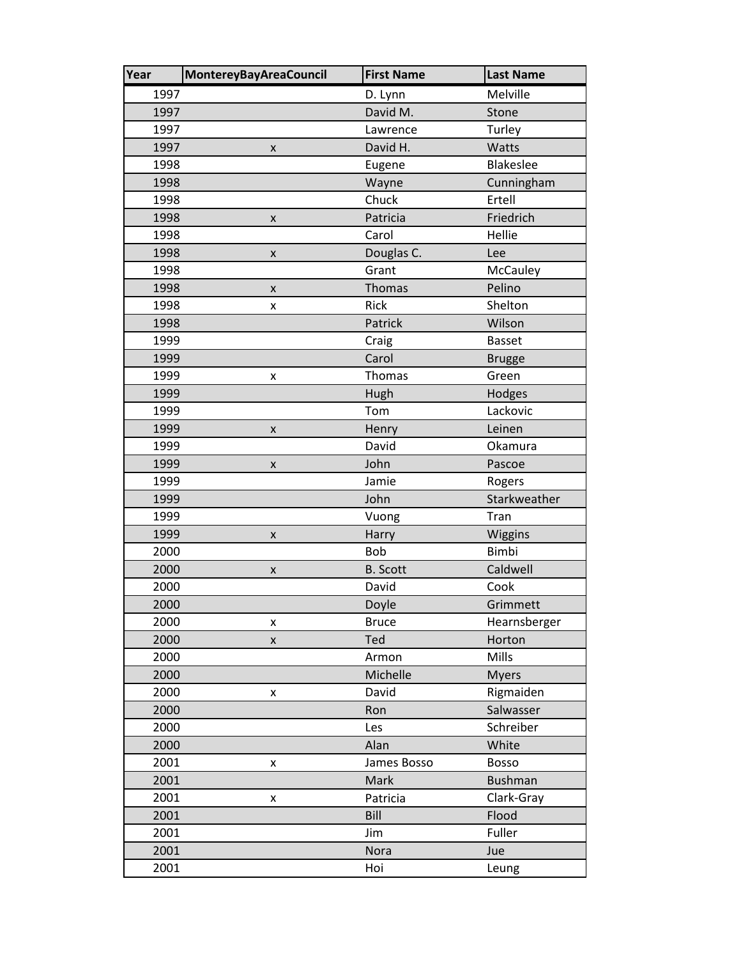| Year | <b>MontereyBayAreaCouncil</b> | <b>First Name</b> | <b>Last Name</b> |
|------|-------------------------------|-------------------|------------------|
| 1997 |                               | D. Lynn           | Melville         |
| 1997 |                               | David M.          | Stone            |
| 1997 |                               | Lawrence          | Turley           |
| 1997 | X                             | David H.          | Watts            |
| 1998 |                               | Eugene            | Blakeslee        |
| 1998 |                               | Wayne             | Cunningham       |
| 1998 |                               | Chuck             | Ertell           |
| 1998 | X                             | Patricia          | Friedrich        |
| 1998 |                               | Carol             | Hellie           |
| 1998 | $\pmb{\mathsf{X}}$            | Douglas C.        | Lee              |
| 1998 |                               | Grant             | McCauley         |
| 1998 | $\pmb{\times}$                | <b>Thomas</b>     | Pelino           |
| 1998 | X                             | Rick              | Shelton          |
| 1998 |                               | Patrick           | Wilson           |
| 1999 |                               | Craig             | Basset           |
| 1999 |                               | Carol             | <b>Brugge</b>    |
| 1999 | x                             | Thomas            | Green            |
| 1999 |                               | Hugh              | Hodges           |
| 1999 |                               | Tom               | Lackovic         |
| 1999 | X                             | Henry             | Leinen           |
| 1999 |                               | David             | Okamura          |
| 1999 | $\pmb{\mathsf{X}}$            | John              | Pascoe           |
| 1999 |                               | Jamie             | Rogers           |
| 1999 |                               | John              | Starkweather     |
| 1999 |                               | Vuong             | Tran             |
| 1999 | X                             | Harry             | Wiggins          |
| 2000 |                               | <b>Bob</b>        | <b>Bimbi</b>     |
| 2000 | $\pmb{\mathsf{X}}$            | <b>B.</b> Scott   | Caldwell         |
| 2000 |                               | David             | Cook             |
| 2000 |                               | Doyle             | Grimmett         |
| 2000 | x                             | <b>Bruce</b>      | Hearnsberger     |
| 2000 | X                             | Ted               | Horton           |
| 2000 |                               | Armon             | Mills            |
| 2000 |                               | Michelle          | <b>Myers</b>     |
| 2000 | X                             | David             | Rigmaiden        |
| 2000 |                               | Ron               | Salwasser        |
| 2000 |                               | Les               | Schreiber        |
| 2000 |                               | Alan              | White            |
| 2001 | x                             | James Bosso       | Bosso            |
| 2001 |                               | Mark              | <b>Bushman</b>   |
| 2001 | X                             | Patricia          | Clark-Gray       |
| 2001 |                               | Bill              | Flood            |
| 2001 |                               | Jim               | Fuller           |
| 2001 |                               | <b>Nora</b>       | Jue              |
| 2001 |                               | Hoi               | Leung            |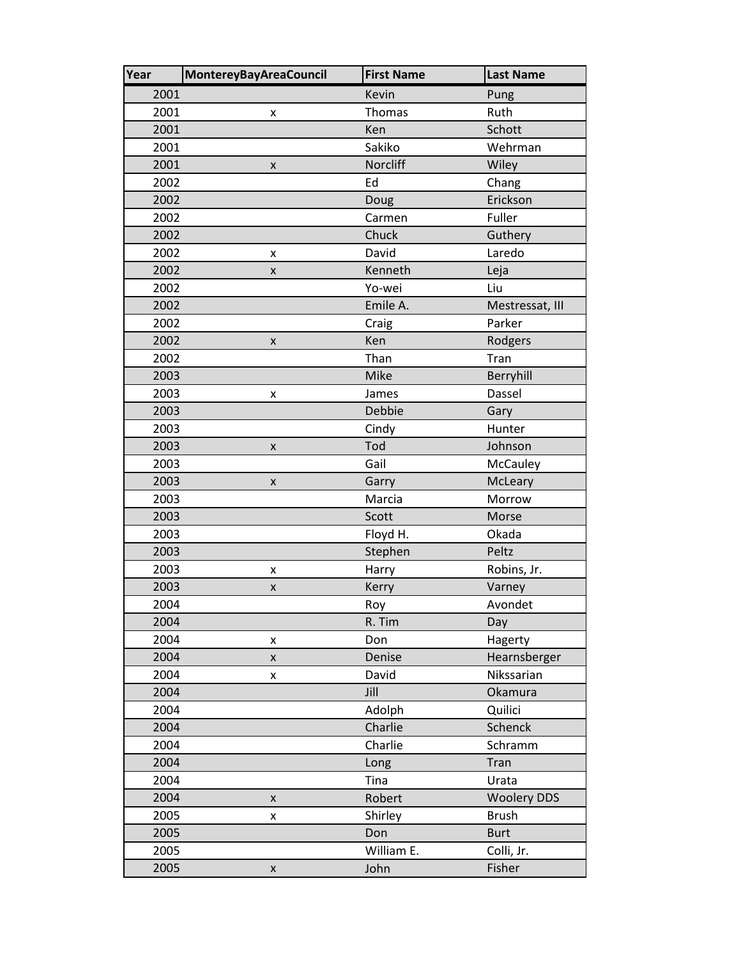| Year | <b>MontereyBayAreaCouncil</b> | <b>First Name</b> | <b>Last Name</b>   |
|------|-------------------------------|-------------------|--------------------|
| 2001 |                               | Kevin             | Pung               |
| 2001 | x                             | Thomas            | Ruth               |
| 2001 |                               | Ken               | Schott             |
| 2001 |                               | Sakiko            | Wehrman            |
| 2001 | $\pmb{\times}$                | Norcliff          | Wiley              |
| 2002 |                               | Ed                | Chang              |
| 2002 |                               | Doug              | Erickson           |
| 2002 |                               | Carmen            | Fuller             |
| 2002 |                               | Chuck             | Guthery            |
| 2002 | x                             | David             | Laredo             |
| 2002 | $\pmb{\mathsf{X}}$            | Kenneth           | Leja               |
| 2002 |                               | Yo-wei            | Liu                |
| 2002 |                               | Emile A.          | Mestressat, III    |
| 2002 |                               | Craig             | Parker             |
| 2002 | x                             | Ken               | Rodgers            |
| 2002 |                               | Than              | Tran               |
| 2003 |                               | Mike              | Berryhill          |
| 2003 | x                             | James             | Dassel             |
| 2003 |                               | Debbie            | Gary               |
| 2003 |                               | Cindy             | Hunter             |
| 2003 | X                             | Tod               | Johnson            |
| 2003 |                               | Gail              | McCauley           |
| 2003 | X                             | Garry             | McLeary            |
| 2003 |                               | Marcia            | Morrow             |
| 2003 |                               | Scott             | Morse              |
| 2003 |                               | Floyd H.          | Okada              |
| 2003 |                               | Stephen           | Peltz              |
| 2003 | x                             | Harry             | Robins, Jr.        |
| 2003 | X                             | Kerry             | Varney             |
| 2004 |                               | Roy               | Avondet            |
| 2004 |                               | R. Tim            | Day                |
| 2004 | X                             | Don               | Hagerty            |
| 2004 | $\pmb{\mathsf{X}}$            | Denise            | Hearnsberger       |
| 2004 | x                             | David             | Nikssarian         |
| 2004 |                               | Jill              | Okamura            |
| 2004 |                               | Adolph            | Quilici            |
| 2004 |                               | Charlie           | Schenck            |
| 2004 |                               | Charlie           | Schramm            |
| 2004 |                               | Long              | Tran               |
| 2004 |                               | Tina              | Urata              |
| 2004 | $\pmb{\times}$                | Robert            | <b>Woolery DDS</b> |
| 2005 | x                             | Shirley           | <b>Brush</b>       |
| 2005 |                               | Don               | <b>Burt</b>        |
| 2005 |                               | William E.        | Colli, Jr.         |
| 2005 | $\pmb{\mathsf{X}}$            | John              | Fisher             |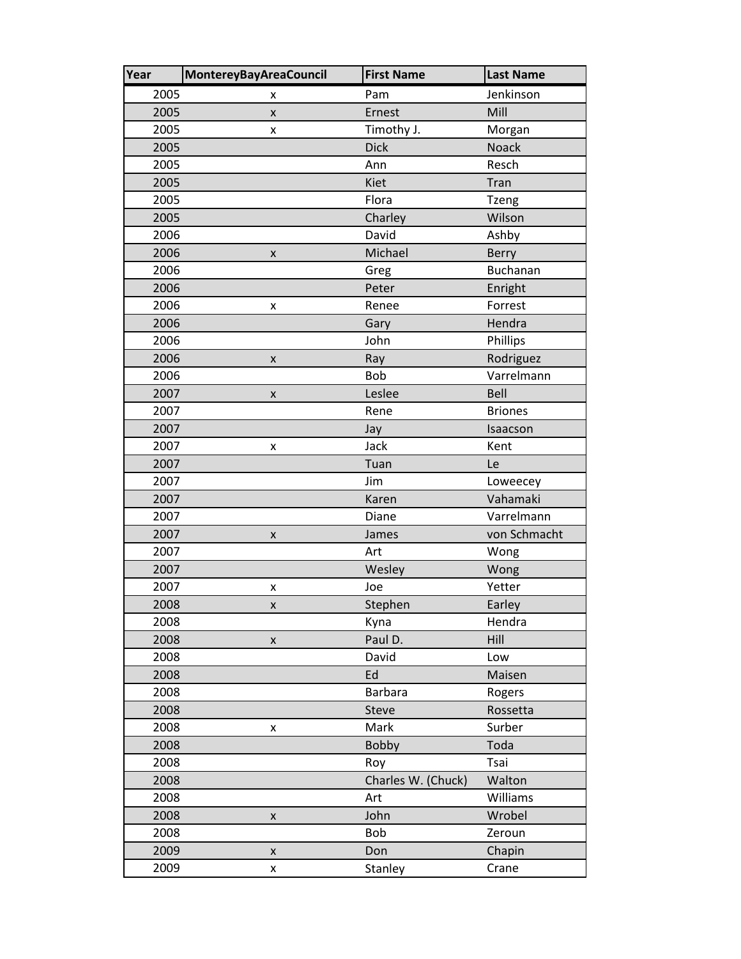| Year | <b>MontereyBayAreaCouncil</b> | <b>First Name</b>  | <b>Last Name</b> |
|------|-------------------------------|--------------------|------------------|
| 2005 | x                             | Pam                | Jenkinson        |
| 2005 | $\pmb{\times}$                | Ernest             | Mill             |
| 2005 | x                             | Timothy J.         | Morgan           |
| 2005 |                               | <b>Dick</b>        | Noack            |
| 2005 |                               | Ann                | Resch            |
| 2005 |                               | <b>Kiet</b>        | Tran             |
| 2005 |                               | Flora              | <b>Tzeng</b>     |
| 2005 |                               | Charley            | Wilson           |
| 2006 |                               | David              | Ashby            |
| 2006 | X                             | Michael            | Berry            |
| 2006 |                               | Greg               | <b>Buchanan</b>  |
| 2006 |                               | Peter              | Enright          |
| 2006 | X                             | Renee              | Forrest          |
| 2006 |                               | Gary               | Hendra           |
| 2006 |                               | John               | Phillips         |
| 2006 | $\pmb{\times}$                | Ray                | Rodriguez        |
| 2006 |                               | <b>Bob</b>         | Varrelmann       |
| 2007 | X                             | Leslee             | Bell             |
| 2007 |                               | Rene               | <b>Briones</b>   |
| 2007 |                               | Jay                | Isaacson         |
| 2007 | x                             | Jack               | Kent             |
| 2007 |                               | Tuan               | Le               |
| 2007 |                               | Jim                | Loweecey         |
| 2007 |                               | Karen              | Vahamaki         |
| 2007 |                               | Diane              | Varrelmann       |
| 2007 | X                             | James              | von Schmacht     |
| 2007 |                               | Art                | Wong             |
| 2007 |                               | Wesley             | Wong             |
| 2007 | x                             | Joe                | Yetter           |
| 2008 | X                             | Stephen            | Earley           |
| 2008 |                               | Kyna               | Hendra           |
| 2008 | X                             | Paul D.            | Hill             |
| 2008 |                               | David              | Low              |
| 2008 |                               | Ed                 | Maisen           |
| 2008 |                               | <b>Barbara</b>     | Rogers           |
| 2008 |                               | <b>Steve</b>       | Rossetta         |
| 2008 | x                             | Mark               | Surber           |
| 2008 |                               | <b>Bobby</b>       | Toda             |
| 2008 |                               | Roy                | Tsai             |
| 2008 |                               | Charles W. (Chuck) | Walton           |
| 2008 |                               | Art                | Williams         |
| 2008 | X                             | John               | Wrobel           |
| 2008 |                               | Bob                | Zeroun           |
| 2009 | X                             | Don                | Chapin           |
| 2009 | X                             | Stanley            | Crane            |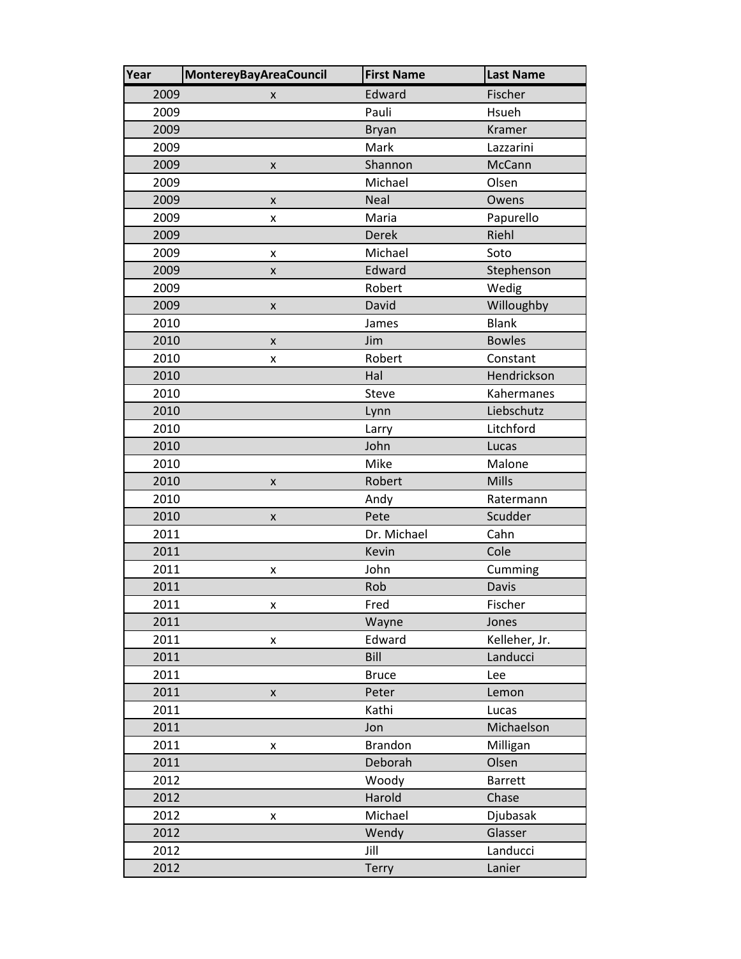| Year | <b>MontereyBayAreaCouncil</b> | <b>First Name</b> | <b>Last Name</b> |
|------|-------------------------------|-------------------|------------------|
| 2009 | x                             | Edward            | Fischer          |
| 2009 |                               | Pauli             | Hsueh            |
| 2009 |                               | <b>Bryan</b>      | Kramer           |
| 2009 |                               | Mark              | Lazzarini        |
| 2009 | x                             | Shannon           | McCann           |
| 2009 |                               | Michael           | Olsen            |
| 2009 | X                             | Neal              | Owens            |
| 2009 | x                             | Maria             | Papurello        |
| 2009 |                               | <b>Derek</b>      | Riehl            |
| 2009 | x                             | Michael           | Soto             |
| 2009 | X                             | Edward            | Stephenson       |
| 2009 |                               | Robert            | Wedig            |
| 2009 | $\pmb{\mathsf{X}}$            | David             | Willoughby       |
| 2010 |                               | James             | <b>Blank</b>     |
| 2010 | $\pmb{\times}$                | Jim               | <b>Bowles</b>    |
| 2010 | x                             | Robert            | Constant         |
| 2010 |                               | Hal               | Hendrickson      |
| 2010 |                               | <b>Steve</b>      | Kahermanes       |
| 2010 |                               | Lynn              | Liebschutz       |
| 2010 |                               | Larry             | Litchford        |
| 2010 |                               | John              | Lucas            |
| 2010 |                               | Mike              | Malone           |
| 2010 | X                             | Robert            | Mills            |
| 2010 |                               | Andy              | Ratermann        |
| 2010 | X                             | Pete              | Scudder          |
| 2011 |                               | Dr. Michael       | Cahn             |
| 2011 |                               | Kevin             | Cole             |
| 2011 | X                             | John              | Cumming          |
| 2011 |                               | Rob               | Davis            |
| 2011 | x                             | Fred              | Fischer          |
| 2011 |                               | Wayne             | Jones            |
| 2011 | x                             | Edward            | Kelleher, Jr.    |
| 2011 |                               | Bill              | Landucci         |
| 2011 |                               | <b>Bruce</b>      | Lee              |
| 2011 | X                             | Peter             | Lemon            |
| 2011 |                               | Kathi             | Lucas            |
| 2011 |                               | Jon               | Michaelson       |
| 2011 | X                             | <b>Brandon</b>    | Milligan         |
| 2011 |                               | Deborah           | Olsen            |
| 2012 |                               | Woody             | <b>Barrett</b>   |
| 2012 |                               | Harold            | Chase            |
| 2012 | X                             | Michael           | Djubasak         |
| 2012 |                               | Wendy             | Glasser          |
| 2012 |                               | Jill              | Landucci         |
| 2012 |                               | Terry             | Lanier           |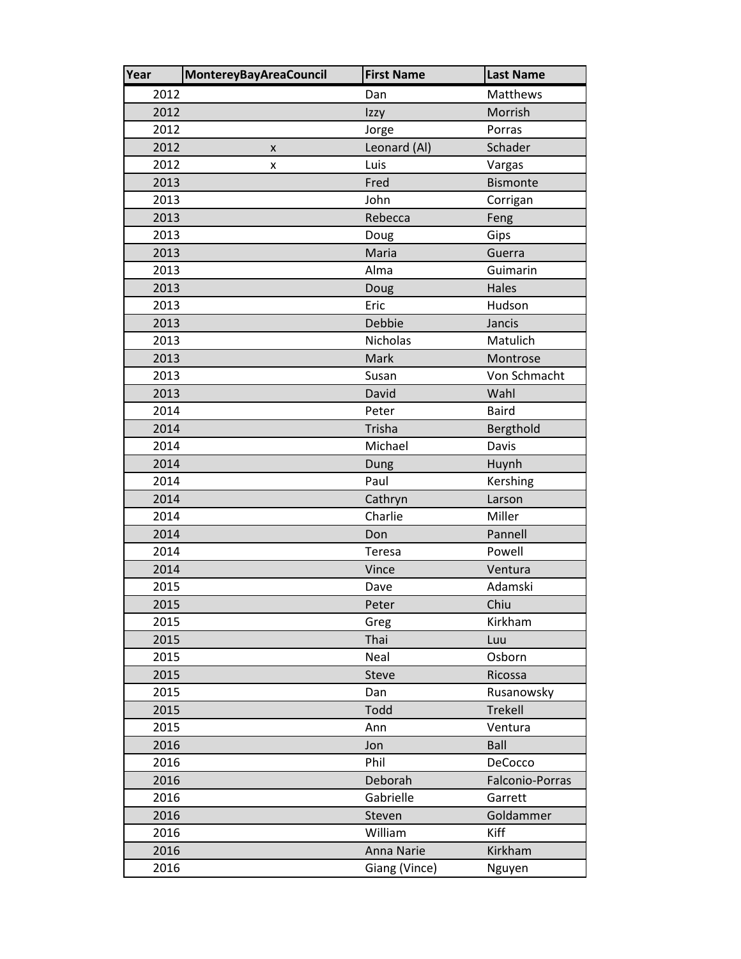| Year | <b>MontereyBayAreaCouncil</b> | <b>First Name</b> | <b>Last Name</b> |
|------|-------------------------------|-------------------|------------------|
| 2012 |                               | Dan               | Matthews         |
| 2012 |                               | Izzy              | Morrish          |
| 2012 |                               | Jorge             | Porras           |
| 2012 | X                             | Leonard (Al)      | Schader          |
| 2012 | x                             | Luis              | Vargas           |
| 2013 |                               | Fred              | <b>Bismonte</b>  |
| 2013 |                               | John              | Corrigan         |
| 2013 |                               | Rebecca           | Feng             |
| 2013 |                               | Doug              | Gips             |
| 2013 |                               | Maria             | Guerra           |
| 2013 |                               | Alma              | Guimarin         |
| 2013 |                               | Doug              | Hales            |
| 2013 |                               | Eric              | Hudson           |
| 2013 |                               | Debbie            | Jancis           |
| 2013 |                               | <b>Nicholas</b>   | Matulich         |
| 2013 |                               | Mark              | Montrose         |
| 2013 |                               | Susan             | Von Schmacht     |
| 2013 |                               | David             | Wahl             |
| 2014 |                               | Peter             | <b>Baird</b>     |
| 2014 |                               | Trisha            | Bergthold        |
| 2014 |                               | Michael           | Davis            |
| 2014 |                               | Dung              | Huynh            |
| 2014 |                               | Paul              | Kershing         |
| 2014 |                               | Cathryn           | Larson           |
| 2014 |                               | Charlie           | Miller           |
| 2014 |                               | Don               | Pannell          |
| 2014 |                               | Teresa            | Powell           |
| 2014 |                               | Vince             | Ventura          |
| 2015 |                               | Dave              | Adamski          |
| 2015 |                               | Peter             | Chiu             |
| 2015 |                               | Greg              | Kirkham          |
| 2015 |                               | Thai              | Luu              |
| 2015 |                               | Neal              | Osborn           |
| 2015 |                               | <b>Steve</b>      | Ricossa          |
| 2015 |                               | Dan               | Rusanowsky       |
| 2015 |                               | Todd              | Trekell          |
| 2015 |                               | Ann               | Ventura          |
| 2016 |                               | Jon               | Ball             |
| 2016 |                               | Phil              | DeCocco          |
| 2016 |                               | Deborah           | Falconio-Porras  |
| 2016 |                               | Gabrielle         | Garrett          |
| 2016 |                               | Steven            | Goldammer        |
| 2016 |                               | William           | Kiff             |
| 2016 |                               | Anna Narie        | Kirkham          |
| 2016 |                               | Giang (Vince)     | Nguyen           |